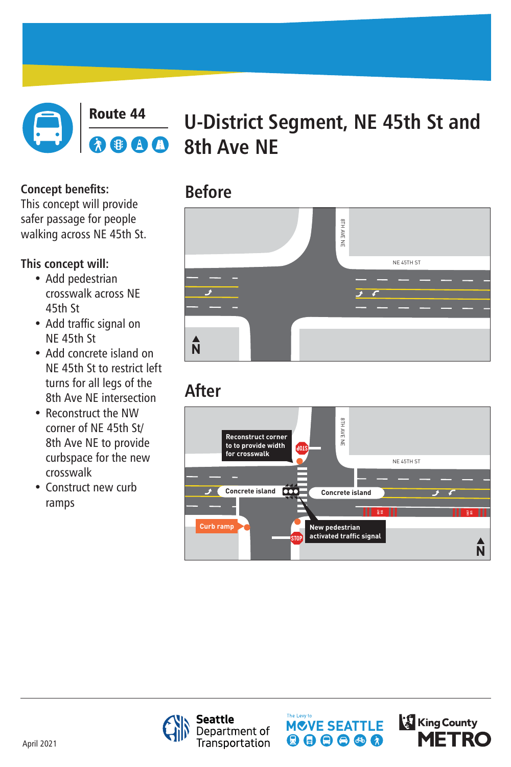

### **Route 44 U-District Segment, NE 45th St and**<br> **REE A B** 8th Ave NF **8th Ave NE**

# $\blacktriangleright$  $\blacktriangle$ **N**

# **Before**

# **After**



**Concept benefits:** This concept will provide safer passage for people walking across NE 45th St.

**This concept will:**

- Add pedestrian crosswalk across NE 45th St
- Add traffic signal on NE 45th St
- Add concrete island on NE 45th St to restrict left turns for all legs of the 8th Ave NE intersection
- Reconstruct the NW corner of NE 45th St/ 8th Ave NE to provide curbspace for the new crosswalk
- Construct new curb ramps







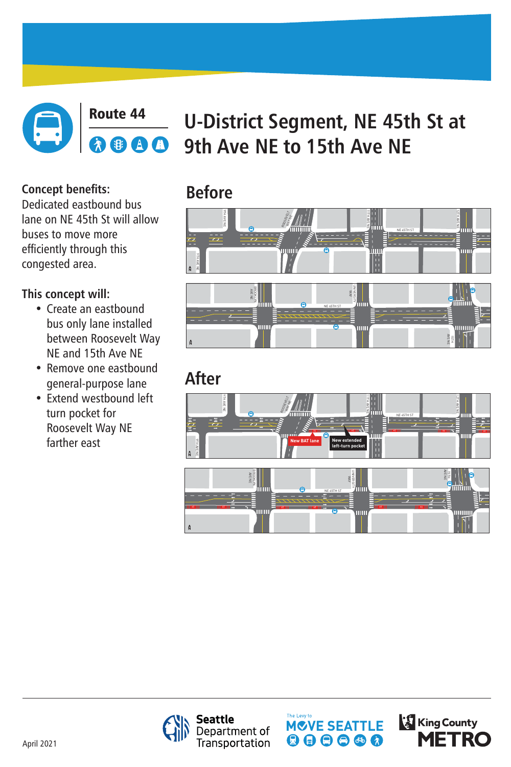

#### Route 44 **U-District Segment, NE 45th St at 9th Ave NE to 15th Ave NE**  $\lambda$

# **Before**

# **After**



#### UNIVERSITY BROOKLYN AVE NE  $\bigtimes$  $\bigodot$ NE 45TH ST ШШ um AVE NE 15TH **N**

**Concept benefits:** Dedicated eastbound bus lane on NE 45th St will allow buses to move more efficiently through this congested area.

### **This concept will:**

- Create an eastbound bus only lane installed between Roosevelt Way NE and 15th Ave NE
- Remove one eastbound general-purpose lane
- Extend westbound left turn pocket for Roosevelt Way NE farther east



**Seattle** Department of<br>Transportation





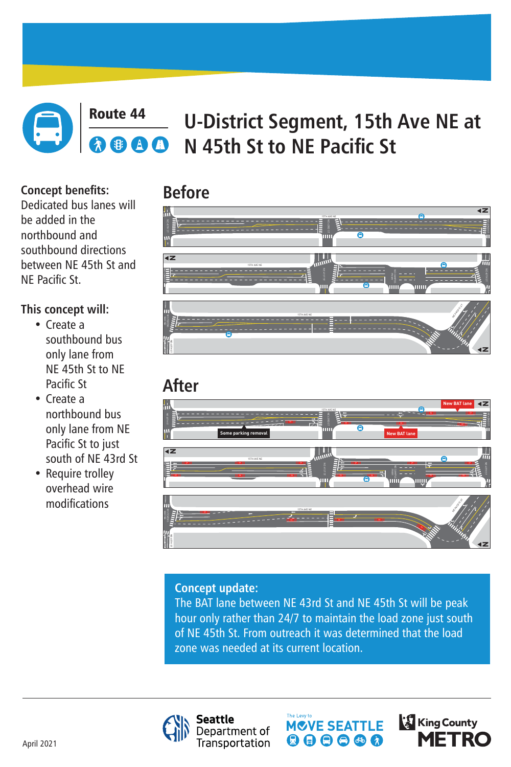## **Before**



#### Route 44 **U-District Segment, 15th Ave NE at**  AA **N 45th St to NE Pacific St**





# **Concept update:** The BAT lane between NE 43rd St and NE 45th St will be peak hour only rather than 24/7 to maintain the load zone just south of NE 45th St. From outreach it was determined that the load For Extra concept update:<br>
The BAT lane between NE 43rd St and N<br>
hour only rather than 24/7 to maintain tof NE 45th St. From outreach it was determined at and the state of NE 45th St. From outreach it was determined at an







**Concept benefits:** Dedicated bus lanes will be added in the northbound and southbound directions between NE 45th St and

# NE Pacific St.

### **This concept will:**

- Create a southbound bus only lane from NE 45th St to NE Pacific St
- Create a northbound bus only lane from NE Pacific St to just south of NE 43rd St
- Require trolley overhead wire modifications

**ONLY**

**ONLY**

mm

**ONLY**

NE CAMPUS PKWY



NE 40TH ST



**N**